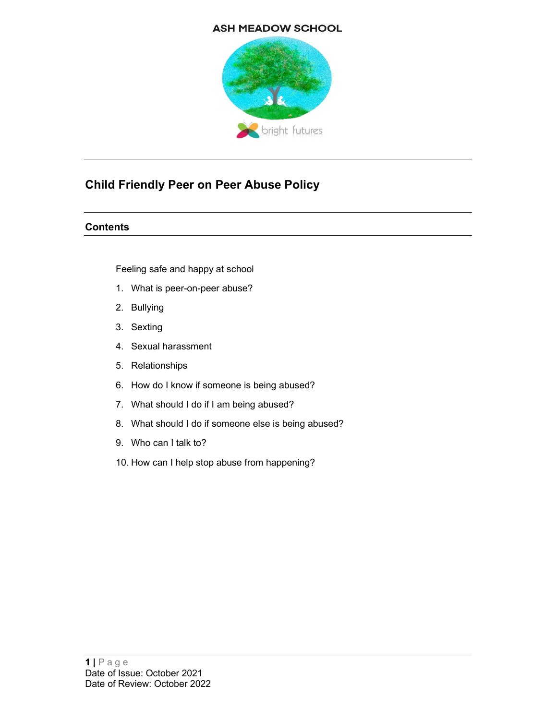#### **ASH MEADOW SCHOOL**



## Child Friendly Peer on Peer Abuse Policy

#### **Contents**

Feeling safe and happy at school

- 1. What is peer-on-peer abuse?
- 2. Bullying
- 3. Sexting
- 4. Sexual harassment
- 5. Relationships
- 6. How do I know if someone is being abused?
- 7. What should I do if I am being abused?
- 8. What should I do if someone else is being abused?
- 9. Who can I talk to?
- 10. How can I help stop abuse from happening?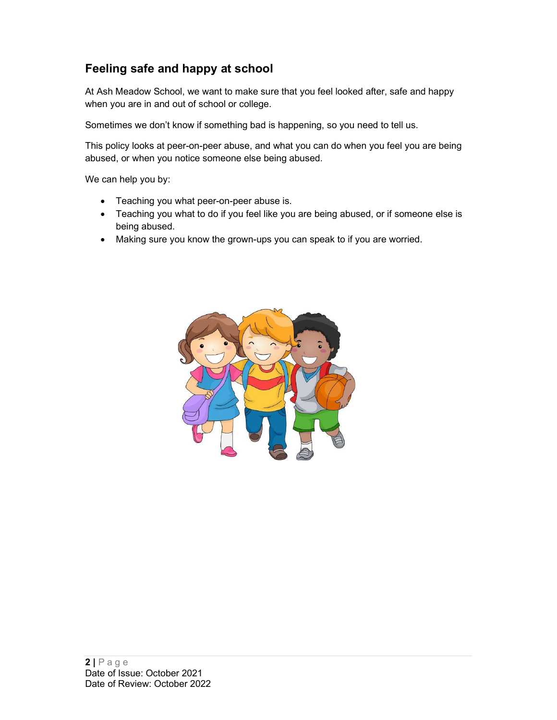## Feeling safe and happy at school

At Ash Meadow School, we want to make sure that you feel looked after, safe and happy when you are in and out of school or college.

Sometimes we don't know if something bad is happening, so you need to tell us.

This policy looks at peer-on-peer abuse, and what you can do when you feel you are being abused, or when you notice someone else being abused.

We can help you by:

- Teaching you what peer-on-peer abuse is.
- Teaching you what to do if you feel like you are being abused, or if someone else is being abused.
- Making sure you know the grown-ups you can speak to if you are worried.

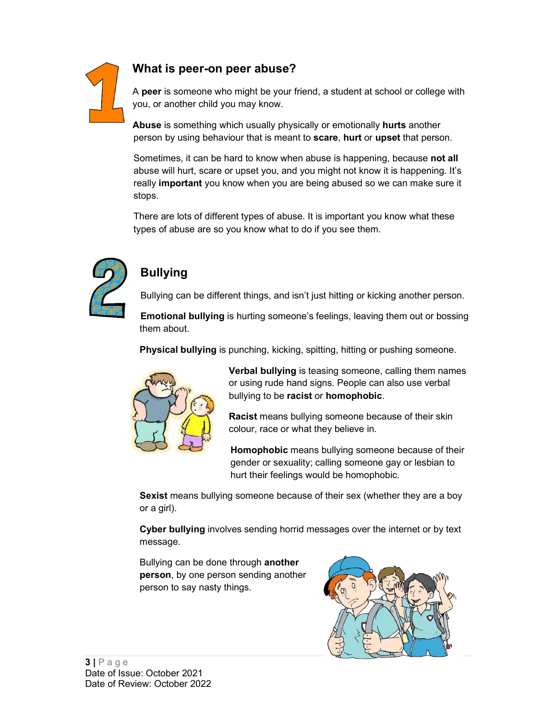### What is peer-on peer abuse?



A peer is someone who might be your friend, a student at school or college with you, or another child you may know.

Abuse is something which usually physically or emotionally hurts another person by using behaviour that is meant to scare, hurt or upset that person.

Sometimes, it can be hard to know when abuse is happening, because **not all** abuse will hurt, scare or upset you, and you might not know it is happening. It's really important you know when you are being abused so we can make sure it stops.

There are lots of different types of abuse. It is important you know what these types of abuse are so you know what to do if you see them.



## Bullying

Bullying can be different things, and isn't just hitting or kicking another person.

Emotional bullying is hurting someone's feelings, leaving them out or bossing them about.

Physical bullying is punching, kicking, spitting, hitting or pushing someone.



Verbal bullying is teasing someone, calling them names or using rude hand signs. People can also use verbal bullying to be racist or homophobic.

Racist means bullying someone because of their skin colour, race or what they believe in.

Homophobic means bullying someone because of their gender or sexuality; calling someone gay or lesbian to hurt their feelings would be homophobic.

Sexist means bullying someone because of their sex (whether they are a boy or a girl).

Cyber bullying involves sending horrid messages over the internet or by text message.

Bullying can be done through another person, by one person sending another person to say nasty things.

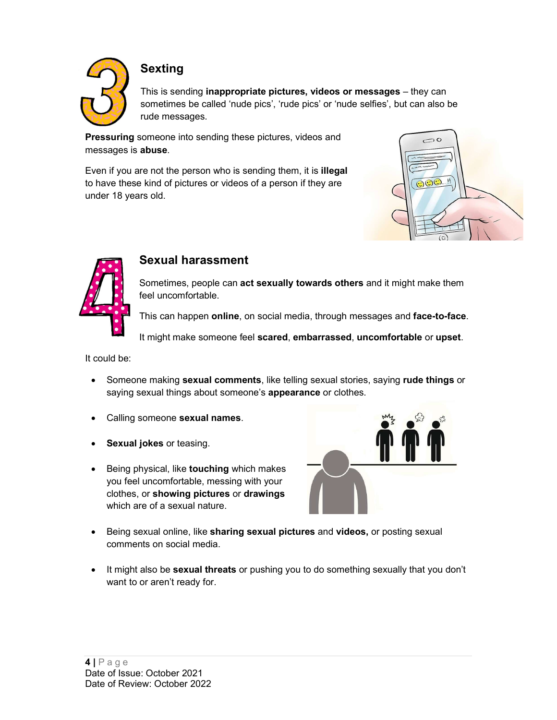

## Sexting

This is sending inappropriate pictures, videos or messages – they can sometimes be called 'nude pics', 'rude pics' or 'nude selfies', but can also be rude messages.

**Pressuring** someone into sending these pictures, videos and messages is **abuse**.<br>Even if you are not the person who is sending them, it is **illegal** 

to have these kind of pictures or videos of a person if they are  $\Box$ under 18 years old.





### Sexual harassment

Sometimes, people can act sexually towards others and it might make them feel uncomfortable.

This can happen online, on social media, through messages and face-to-face.

It might make someone feel scared, embarrassed, uncomfortable or upset.

It could be:

- Someone making sexual comments, like telling sexual stories, saying rude things or saying sexual things about someone's appearance or clothes.
- Calling someone sexual names.
- Sexual jokes or teasing.
- Being physical, like touching which makes you feel uncomfortable, messing with your clothes, or showing pictures or drawings which are of a sexual nature.



- Being sexual online, like sharing sexual pictures and videos, or posting sexual comments on social media.
- It might also be sexual threats or pushing you to do something sexually that you don't want to or aren't ready for.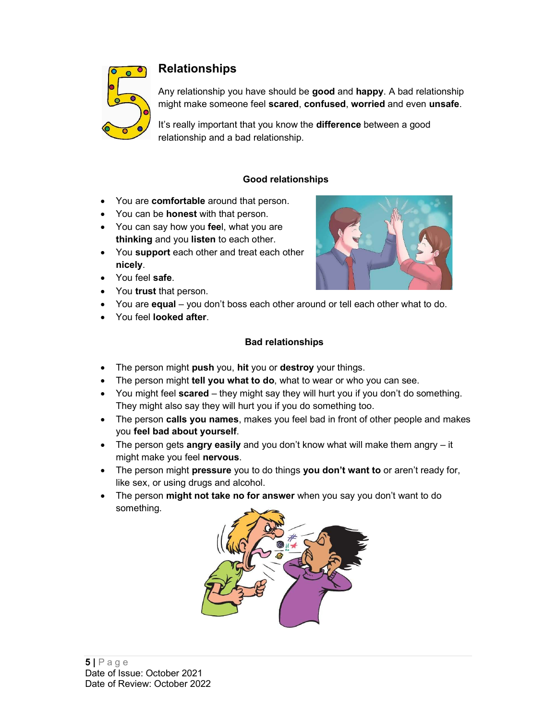

### Relationships

Any relationship you have should be good and happy. A bad relationship might make someone feel scared, confused, worried and even unsafe.

It's really important that you know the difference between a good relationship and a bad relationship.

#### Good relationships

- You are comfortable around that person.
- You can be **honest** with that person.
- You can say how you feel, what you are thinking and you listen to each other.
- You support each other and treat each other nicely.
- You feel safe.
- You trust that person.
- You are **equal** you don't boss each other around or tell each other what to do.
- You feel looked after.

#### Bad relationships

- The person might push you, hit you or destroy your things.
- The person might tell you what to do, what to wear or who you can see.
- You might feel scared they might say they will hurt you if you don't do something. They might also say they will hurt you if you do something too.
- The person calls you names, makes you feel bad in front of other people and makes you feel bad about yourself.
- The person gets angry easily and you don't know what will make them angry  $-$  it might make you feel nervous.
- The person might pressure you to do things you don't want to or aren't ready for, like sex, or using drugs and alcohol.
- The person might not take no for answer when you say you don't want to do something.



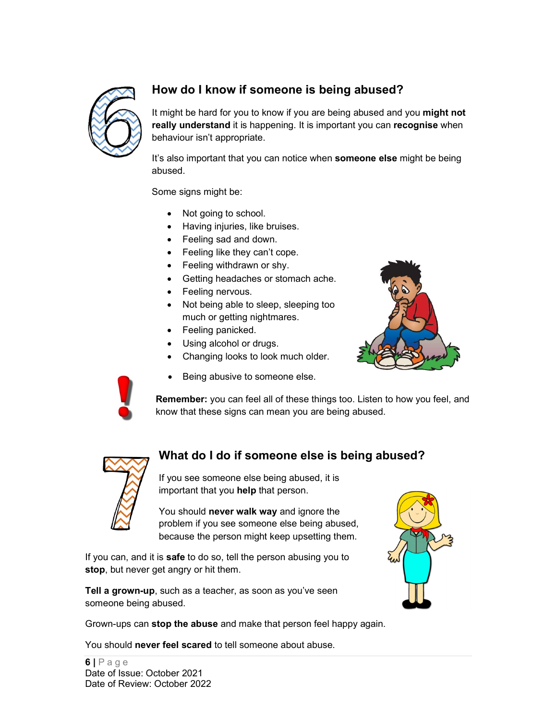

## How do I know if someone is being abused?

It might be hard for you to know if you are being abused and you might not really understand it is happening. It is important you can recognise when behaviour isn't appropriate.

It's also important that you can notice when **someone else** might be being abused.

Some signs might be:

- Not going to school.
- Having injuries, like bruises.
- Feeling sad and down.
- Feeling like they can't cope.
- Feeling withdrawn or shy.
- Getting headaches or stomach ache.
- Feeling nervous.
- Not being able to sleep, sleeping too much or getting nightmares.
- Feeling panicked.
- Using alcohol or drugs.
- Changing looks to look much older.
- Being abusive to someone else.





Remember: you can feel all of these things too. Listen to how you feel, and know that these signs can mean you are being abused.



### What do I do if someone else is being abused?

If you see someone else being abused, it is important that you help that person.

What do I do if someone else is being abused<br>
If you see someone else being abused, it is<br>
important that you help that person.<br>
You should never walk way and ignore the<br>
problem if you see someone else being abused,<br>
leca You should never walk way and ignore the problem if you see someone else being abused, because the person might keep upsetting them.

If you can, and it is safe to do so, tell the person abusing you to stop, but never get angry or hit them.

Tell a grown-up, such as a teacher, as soon as you've seen someone being abused.

Grown-ups can stop the abuse and make that person feel happy again.

You should never feel scared to tell someone about abuse.

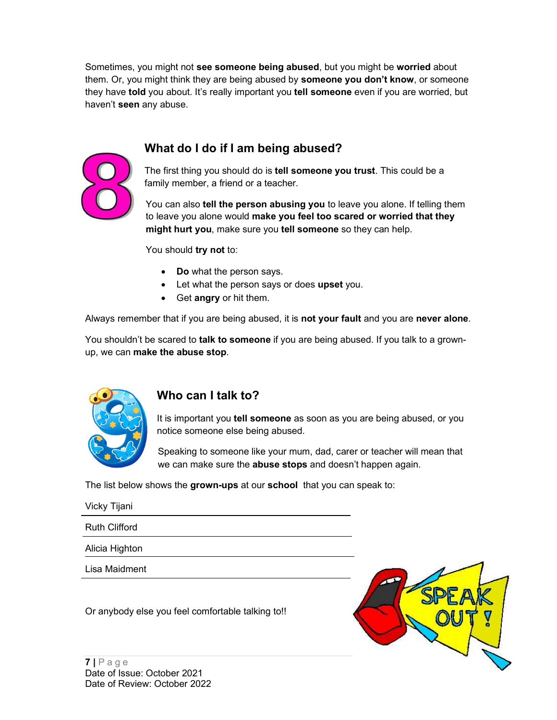Sometimes, you might not see someone being abused, but you might be worried about them. Or, you might think they are being abused by **someone you don't know**, or someone they have told you about. It's really important you tell someone even if you are worried, but haven't seen any abuse.

## What do I do if I am being abused?



The first thing you should do is tell someone you trust. This could be a family member, a friend or a teacher.

You can also tell the person abusing you to leave you alone. If telling them to leave you alone would make you feel too scared or worried that they might hurt you, make sure you tell someone so they can help.

You should try not to:

- Do what the person says.
- Let what the person says or does upset you.
- Get angry or hit them.

Always remember that if you are being abused, it is **not your fault** and you are **never alone**.<br>You shouldn't be scared to **talk to someone** if you are being abused. If you talk to a grownup, we can make the abuse stop.



### Who can I talk to?

It is important you tell someone as soon as you are being abused, or you notice someone else being abused.

Speaking to someone like your mum, dad, carer or teacher will mean that we can make sure the **abuse stops** and doesn't happen again.

|                                                                                      | notice someone else being abused.                                                                                           |
|--------------------------------------------------------------------------------------|-----------------------------------------------------------------------------------------------------------------------------|
|                                                                                      | Speaking to someone like your mum, dad, carer or teacher will<br>we can make sure the abuse stops and doesn't happen again. |
|                                                                                      | The list below shows the grown-ups at our school that you can speak to:                                                     |
| Vicky Tijani                                                                         |                                                                                                                             |
| <b>Ruth Clifford</b>                                                                 |                                                                                                                             |
| Alicia Highton                                                                       |                                                                                                                             |
| Lisa Maidment                                                                        |                                                                                                                             |
|                                                                                      | Or anybody else you feel comfortable talking to!!                                                                           |
| $7 \mid P \text{age}$<br>Date of Issue: October 2021<br>Date of Review: October 2022 |                                                                                                                             |